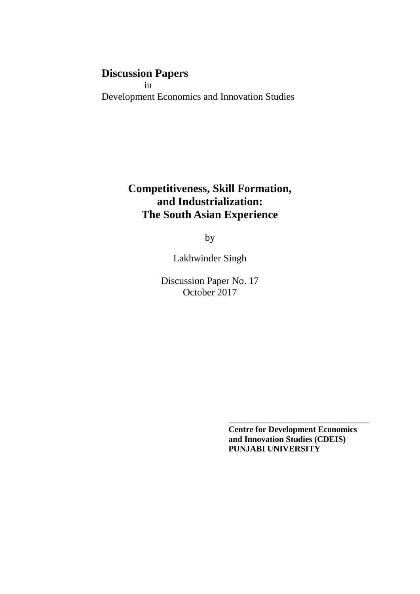# **Discussion Papers**

 in Development Economics and Innovation Studies

> **Competitiveness, Skill Formation, and Industrialization: The South Asian Experience**

> > by

Lakhwinder Singh

Discussion Paper No. 17 October 2017

> **Centre for Development Economics and Innovation Studies (CDEIS) PUNJABI UNIVERSITY**

**\_\_\_\_\_\_\_\_\_\_\_\_\_\_\_\_\_\_\_\_\_\_\_\_\_\_\_\_\_\_\_\_\_**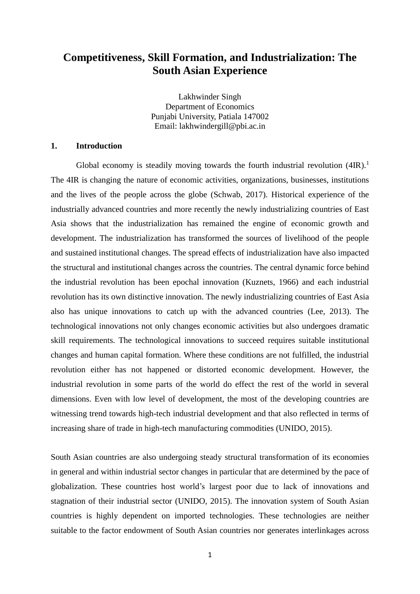# **Competitiveness, Skill Formation, and Industrialization: The South Asian Experience**

Lakhwinder Singh Department of Economics Punjabi University, Patiala 147002 Email: lakhwindergill@pbi.ac.in

### **1. Introduction**

Global economy is steadily moving towards the fourth industrial revolution  $(4IR)$ .<sup>1</sup> The 4IR is changing the nature of economic activities, organizations, businesses, institutions and the lives of the people across the globe (Schwab, 2017). Historical experience of the industrially advanced countries and more recently the newly industrializing countries of East Asia shows that the industrialization has remained the engine of economic growth and development. The industrialization has transformed the sources of livelihood of the people and sustained institutional changes. The spread effects of industrialization have also impacted the structural and institutional changes across the countries. The central dynamic force behind the industrial revolution has been epochal innovation (Kuznets, 1966) and each industrial revolution has its own distinctive innovation. The newly industrializing countries of East Asia also has unique innovations to catch up with the advanced countries (Lee, 2013). The technological innovations not only changes economic activities but also undergoes dramatic skill requirements. The technological innovations to succeed requires suitable institutional changes and human capital formation. Where these conditions are not fulfilled, the industrial revolution either has not happened or distorted economic development. However, the industrial revolution in some parts of the world do effect the rest of the world in several dimensions. Even with low level of development, the most of the developing countries are witnessing trend towards high-tech industrial development and that also reflected in terms of increasing share of trade in high-tech manufacturing commodities (UNIDO, 2015).

South Asian countries are also undergoing steady structural transformation of its economies in general and within industrial sector changes in particular that are determined by the pace of globalization. These countries host world's largest poor due to lack of innovations and stagnation of their industrial sector (UNIDO, 2015). The innovation system of South Asian countries is highly dependent on imported technologies. These technologies are neither suitable to the factor endowment of South Asian countries nor generates interlinkages across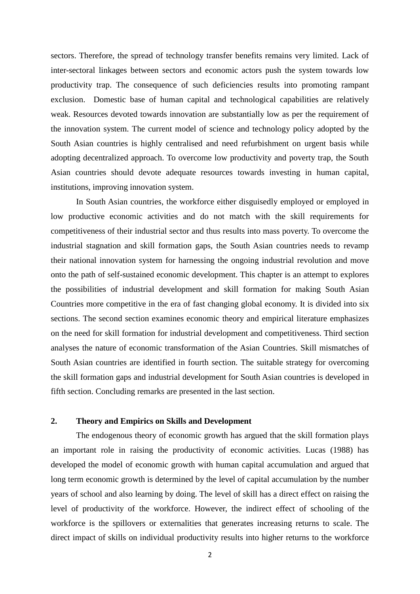sectors. Therefore, the spread of technology transfer benefits remains very limited. Lack of inter-sectoral linkages between sectors and economic actors push the system towards low productivity trap. The consequence of such deficiencies results into promoting rampant exclusion. Domestic base of human capital and technological capabilities are relatively weak. Resources devoted towards innovation are substantially low as per the requirement of the innovation system. The current model of science and technology policy adopted by the South Asian countries is highly centralised and need refurbishment on urgent basis while adopting decentralized approach. To overcome low productivity and poverty trap, the South Asian countries should devote adequate resources towards investing in human capital, institutions, improving innovation system.

In South Asian countries, the workforce either disguisedly employed or employed in low productive economic activities and do not match with the skill requirements for competitiveness of their industrial sector and thus results into mass poverty. To overcome the industrial stagnation and skill formation gaps, the South Asian countries needs to revamp their national innovation system for harnessing the ongoing industrial revolution and move onto the path of self-sustained economic development. This chapter is an attempt to explores the possibilities of industrial development and skill formation for making South Asian Countries more competitive in the era of fast changing global economy. It is divided into six sections. The second section examines economic theory and empirical literature emphasizes on the need for skill formation for industrial development and competitiveness. Third section analyses the nature of economic transformation of the Asian Countries. Skill mismatches of South Asian countries are identified in fourth section. The suitable strategy for overcoming the skill formation gaps and industrial development for South Asian countries is developed in fifth section. Concluding remarks are presented in the last section.

### **2. Theory and Empirics on Skills and Development**

The endogenous theory of economic growth has argued that the skill formation plays an important role in raising the productivity of economic activities. Lucas (1988) has developed the model of economic growth with human capital accumulation and argued that long term economic growth is determined by the level of capital accumulation by the number years of school and also learning by doing. The level of skill has a direct effect on raising the level of productivity of the workforce. However, the indirect effect of schooling of the workforce is the spillovers or externalities that generates increasing returns to scale. The direct impact of skills on individual productivity results into higher returns to the workforce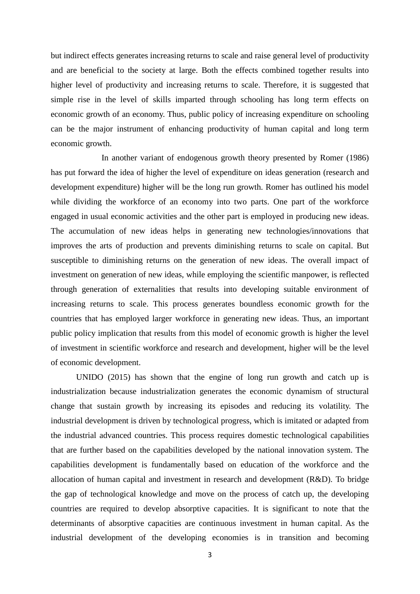but indirect effects generates increasing returns to scale and raise general level of productivity and are beneficial to the society at large. Both the effects combined together results into higher level of productivity and increasing returns to scale. Therefore, it is suggested that simple rise in the level of skills imparted through schooling has long term effects on economic growth of an economy. Thus, public policy of increasing expenditure on schooling can be the major instrument of enhancing productivity of human capital and long term economic growth.

In another variant of endogenous growth theory presented by Romer (1986) has put forward the idea of higher the level of expenditure on ideas generation (research and development expenditure) higher will be the long run growth. Romer has outlined his model while dividing the workforce of an economy into two parts. One part of the workforce engaged in usual economic activities and the other part is employed in producing new ideas. The accumulation of new ideas helps in generating new technologies/innovations that improves the arts of production and prevents diminishing returns to scale on capital. But susceptible to diminishing returns on the generation of new ideas. The overall impact of investment on generation of new ideas, while employing the scientific manpower, is reflected through generation of externalities that results into developing suitable environment of increasing returns to scale. This process generates boundless economic growth for the countries that has employed larger workforce in generating new ideas. Thus, an important public policy implication that results from this model of economic growth is higher the level of investment in scientific workforce and research and development, higher will be the level of economic development.

UNIDO (2015) has shown that the engine of long run growth and catch up is industrialization because industrialization generates the economic dynamism of structural change that sustain growth by increasing its episodes and reducing its volatility. The industrial development is driven by technological progress, which is imitated or adapted from the industrial advanced countries. This process requires domestic technological capabilities that are further based on the capabilities developed by the national innovation system. The capabilities development is fundamentally based on education of the workforce and the allocation of human capital and investment in research and development (R&D). To bridge the gap of technological knowledge and move on the process of catch up, the developing countries are required to develop absorptive capacities. It is significant to note that the determinants of absorptive capacities are continuous investment in human capital. As the industrial development of the developing economies is in transition and becoming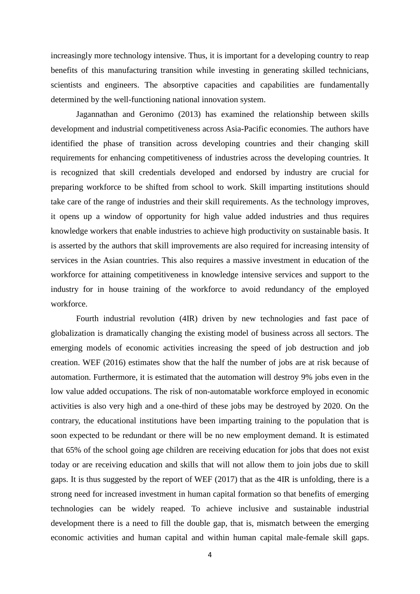increasingly more technology intensive. Thus, it is important for a developing country to reap benefits of this manufacturing transition while investing in generating skilled technicians, scientists and engineers. The absorptive capacities and capabilities are fundamentally determined by the well-functioning national innovation system.

Jagannathan and Geronimo (2013) has examined the relationship between skills development and industrial competitiveness across Asia-Pacific economies. The authors have identified the phase of transition across developing countries and their changing skill requirements for enhancing competitiveness of industries across the developing countries. It is recognized that skill credentials developed and endorsed by industry are crucial for preparing workforce to be shifted from school to work. Skill imparting institutions should take care of the range of industries and their skill requirements. As the technology improves, it opens up a window of opportunity for high value added industries and thus requires knowledge workers that enable industries to achieve high productivity on sustainable basis. It is asserted by the authors that skill improvements are also required for increasing intensity of services in the Asian countries. This also requires a massive investment in education of the workforce for attaining competitiveness in knowledge intensive services and support to the industry for in house training of the workforce to avoid redundancy of the employed workforce.

Fourth industrial revolution (4IR) driven by new technologies and fast pace of globalization is dramatically changing the existing model of business across all sectors. The emerging models of economic activities increasing the speed of job destruction and job creation. WEF (2016) estimates show that the half the number of jobs are at risk because of automation. Furthermore, it is estimated that the automation will destroy 9% jobs even in the low value added occupations. The risk of non-automatable workforce employed in economic activities is also very high and a one-third of these jobs may be destroyed by 2020. On the contrary, the educational institutions have been imparting training to the population that is soon expected to be redundant or there will be no new employment demand. It is estimated that 65% of the school going age children are receiving education for jobs that does not exist today or are receiving education and skills that will not allow them to join jobs due to skill gaps. It is thus suggested by the report of WEF (2017) that as the 4IR is unfolding, there is a strong need for increased investment in human capital formation so that benefits of emerging technologies can be widely reaped. To achieve inclusive and sustainable industrial development there is a need to fill the double gap, that is, mismatch between the emerging economic activities and human capital and within human capital male-female skill gaps.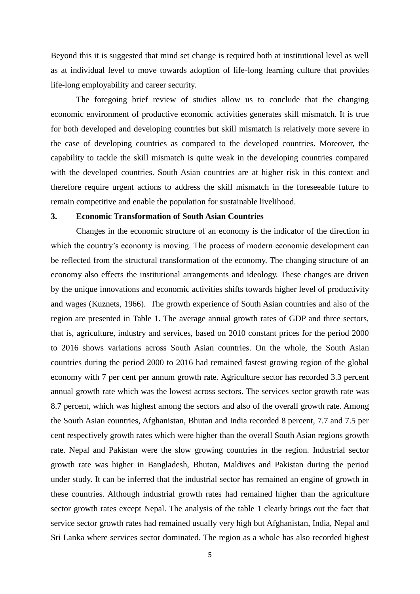Beyond this it is suggested that mind set change is required both at institutional level as well as at individual level to move towards adoption of life-long learning culture that provides life-long employability and career security.

The foregoing brief review of studies allow us to conclude that the changing economic environment of productive economic activities generates skill mismatch. It is true for both developed and developing countries but skill mismatch is relatively more severe in the case of developing countries as compared to the developed countries. Moreover, the capability to tackle the skill mismatch is quite weak in the developing countries compared with the developed countries. South Asian countries are at higher risk in this context and therefore require urgent actions to address the skill mismatch in the foreseeable future to remain competitive and enable the population for sustainable livelihood.

#### **3. Economic Transformation of South Asian Countries**

Changes in the economic structure of an economy is the indicator of the direction in which the country's economy is moving. The process of modern economic development can be reflected from the structural transformation of the economy. The changing structure of an economy also effects the institutional arrangements and ideology. These changes are driven by the unique innovations and economic activities shifts towards higher level of productivity and wages (Kuznets, 1966). The growth experience of South Asian countries and also of the region are presented in Table 1. The average annual growth rates of GDP and three sectors, that is, agriculture, industry and services, based on 2010 constant prices for the period 2000 to 2016 shows variations across South Asian countries. On the whole, the South Asian countries during the period 2000 to 2016 had remained fastest growing region of the global economy with 7 per cent per annum growth rate. Agriculture sector has recorded 3.3 percent annual growth rate which was the lowest across sectors. The services sector growth rate was 8.7 percent, which was highest among the sectors and also of the overall growth rate. Among the South Asian countries, Afghanistan, Bhutan and India recorded 8 percent, 7.7 and 7.5 per cent respectively growth rates which were higher than the overall South Asian regions growth rate. Nepal and Pakistan were the slow growing countries in the region. Industrial sector growth rate was higher in Bangladesh, Bhutan, Maldives and Pakistan during the period under study. It can be inferred that the industrial sector has remained an engine of growth in these countries. Although industrial growth rates had remained higher than the agriculture sector growth rates except Nepal. The analysis of the table 1 clearly brings out the fact that service sector growth rates had remained usually very high but Afghanistan, India, Nepal and Sri Lanka where services sector dominated. The region as a whole has also recorded highest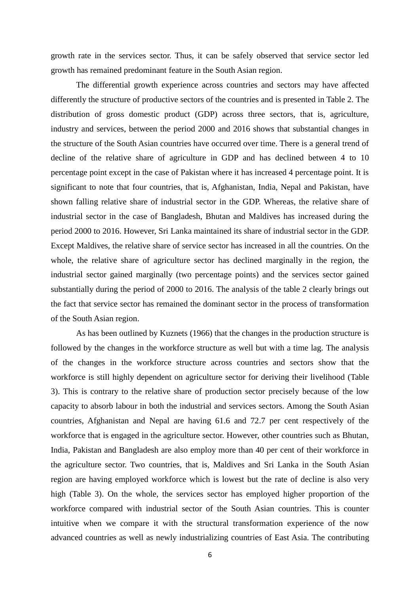growth rate in the services sector. Thus, it can be safely observed that service sector led growth has remained predominant feature in the South Asian region.

The differential growth experience across countries and sectors may have affected differently the structure of productive sectors of the countries and is presented in Table 2. The distribution of gross domestic product (GDP) across three sectors, that is, agriculture, industry and services, between the period 2000 and 2016 shows that substantial changes in the structure of the South Asian countries have occurred over time. There is a general trend of decline of the relative share of agriculture in GDP and has declined between 4 to 10 percentage point except in the case of Pakistan where it has increased 4 percentage point. It is significant to note that four countries, that is, Afghanistan, India, Nepal and Pakistan, have shown falling relative share of industrial sector in the GDP. Whereas, the relative share of industrial sector in the case of Bangladesh, Bhutan and Maldives has increased during the period 2000 to 2016. However, Sri Lanka maintained its share of industrial sector in the GDP. Except Maldives, the relative share of service sector has increased in all the countries. On the whole, the relative share of agriculture sector has declined marginally in the region, the industrial sector gained marginally (two percentage points) and the services sector gained substantially during the period of 2000 to 2016. The analysis of the table 2 clearly brings out the fact that service sector has remained the dominant sector in the process of transformation of the South Asian region.

As has been outlined by Kuznets (1966) that the changes in the production structure is followed by the changes in the workforce structure as well but with a time lag. The analysis of the changes in the workforce structure across countries and sectors show that the workforce is still highly dependent on agriculture sector for deriving their livelihood (Table 3). This is contrary to the relative share of production sector precisely because of the low capacity to absorb labour in both the industrial and services sectors. Among the South Asian countries, Afghanistan and Nepal are having 61.6 and 72.7 per cent respectively of the workforce that is engaged in the agriculture sector. However, other countries such as Bhutan, India, Pakistan and Bangladesh are also employ more than 40 per cent of their workforce in the agriculture sector. Two countries, that is, Maldives and Sri Lanka in the South Asian region are having employed workforce which is lowest but the rate of decline is also very high (Table 3). On the whole, the services sector has employed higher proportion of the workforce compared with industrial sector of the South Asian countries. This is counter intuitive when we compare it with the structural transformation experience of the now advanced countries as well as newly industrializing countries of East Asia. The contributing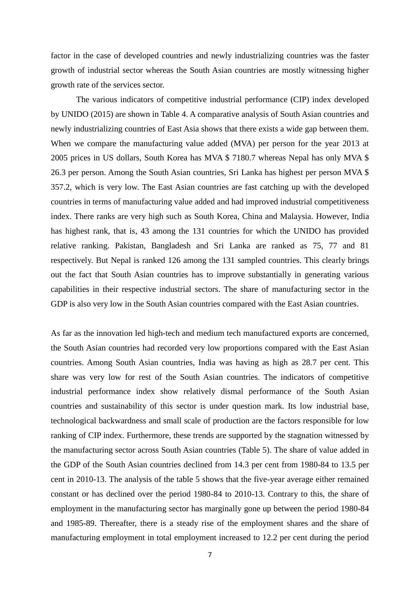factor in the case of developed countries and newly industrializing countries was the faster growth of industrial sector whereas the South Asian countries are mostly witnessing higher growth rate of the services sector.

The various indicators of competitive industrial performance (CIP) index developed by UNIDO (2015) are shown in Table 4. A comparative analysis of South Asian countries and newly industrializing countries of East Asia shows that there exists a wide gap between them. When we compare the manufacturing value added (MVA) per person for the year 2013 at 2005 prices in US dollars, South Korea has MVA \$ 7180.7 whereas Nepal has only MVA \$ 26.3 per person. Among the South Asian countries, Sri Lanka has highest per person MVA \$ 357.2, which is very low. The East Asian countries are fast catching up with the developed countries in terms of manufacturing value added and had improved industrial competitiveness index. There ranks are very high such as South Korea, China and Malaysia. However, India has highest rank, that is, 43 among the 131 countries for which the UNIDO has provided relative ranking. Pakistan, Bangladesh and Sri Lanka are ranked as 75, 77 and 81 respectively. But Nepal is ranked 126 among the 131 sampled countries. This clearly brings out the fact that South Asian countries has to improve substantially in generating various capabilities in their respective industrial sectors. The share of manufacturing sector in the GDP is also very low in the South Asian countries compared with the East Asian countries.

As far as the innovation led high-tech and medium tech manufactured exports are concerned, the South Asian countries had recorded very low proportions compared with the East Asian countries. Among South Asian countries, India was having as high as 28.7 per cent. This share was very low for rest of the South Asian countries. The indicators of competitive industrial performance index show relatively dismal performance of the South Asian countries and sustainability of this sector is under question mark. Its low industrial base, technological backwardness and small scale of production are the factors responsible for low ranking of CIP index. Furthermore, these trends are supported by the stagnation witnessed by the manufacturing sector across South Asian countries (Table 5). The share of value added in the GDP of the South Asian countries declined from 14.3 per cent from 1980-84 to 13.5 per cent in 2010-13. The analysis of the table 5 shows that the five-year average either remained constant or has declined over the period 1980-84 to 2010-13. Contrary to this, the share of employment in the manufacturing sector has marginally gone up between the period 1980-84 and 1985-89. Thereafter, there is a steady rise of the employment shares and the share of manufacturing employment in total employment increased to 12.2 per cent during the period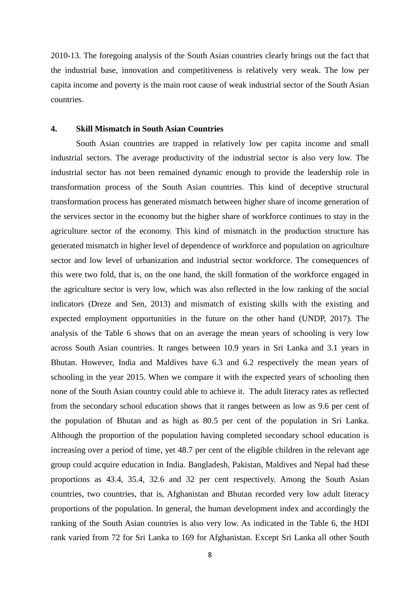2010-13. The foregoing analysis of the South Asian countries clearly brings out the fact that the industrial base, innovation and competitiveness is relatively very weak. The low per capita income and poverty is the main root cause of weak industrial sector of the South Asian countries.

### **4. Skill Mismatch in South Asian Countries**

South Asian countries are trapped in relatively low per capita income and small industrial sectors. The average productivity of the industrial sector is also very low. The industrial sector has not been remained dynamic enough to provide the leadership role in transformation process of the South Asian countries. This kind of deceptive structural transformation process has generated mismatch between higher share of income generation of the services sector in the economy but the higher share of workforce continues to stay in the agriculture sector of the economy. This kind of mismatch in the production structure has generated mismatch in higher level of dependence of workforce and population on agriculture sector and low level of urbanization and industrial sector workforce. The consequences of this were two fold, that is, on the one hand, the skill formation of the workforce engaged in the agriculture sector is very low, which was also reflected in the low ranking of the social indicators (Dreze and Sen, 2013) and mismatch of existing skills with the existing and expected employment opportunities in the future on the other hand (UNDP, 2017). The analysis of the Table 6 shows that on an average the mean years of schooling is very low across South Asian countries. It ranges between 10.9 years in Sri Lanka and 3.1 years in Bhutan. However, India and Maldives have 6.3 and 6.2 respectively the mean years of schooling in the year 2015. When we compare it with the expected years of schooling then none of the South Asian country could able to achieve it. The adult literacy rates as reflected from the secondary school education shows that it ranges between as low as 9.6 per cent of the population of Bhutan and as high as 80.5 per cent of the population in Sri Lanka. Although the proportion of the population having completed secondary school education is increasing over a period of time, yet 48.7 per cent of the eligible children in the relevant age group could acquire education in India. Bangladesh, Pakistan, Maldives and Nepal had these proportions as 43.4, 35.4, 32.6 and 32 per cent respectively. Among the South Asian countries, two countries, that is, Afghanistan and Bhutan recorded very low adult literacy proportions of the population. In general, the human development index and accordingly the ranking of the South Asian countries is also very low. As indicated in the Table 6, the HDI rank varied from 72 for Sri Lanka to 169 for Afghanistan. Except Sri Lanka all other South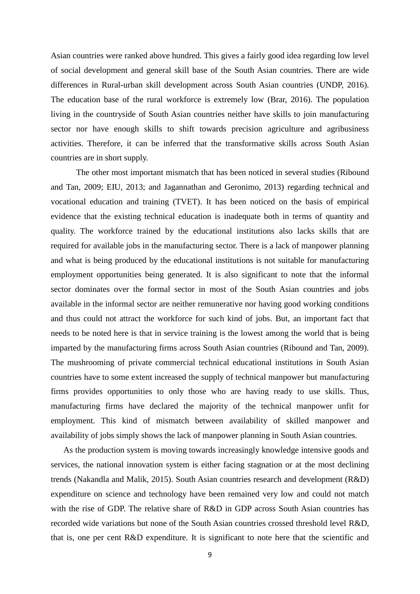Asian countries were ranked above hundred. This gives a fairly good idea regarding low level of social development and general skill base of the South Asian countries. There are wide differences in Rural-urban skill development across South Asian countries (UNDP, 2016). The education base of the rural workforce is extremely low (Brar, 2016). The population living in the countryside of South Asian countries neither have skills to join manufacturing sector nor have enough skills to shift towards precision agriculture and agribusiness activities. Therefore, it can be inferred that the transformative skills across South Asian countries are in short supply.

The other most important mismatch that has been noticed in several studies (Ribound and Tan, 2009; EIU, 2013; and Jagannathan and Geronimo, 2013) regarding technical and vocational education and training (TVET). It has been noticed on the basis of empirical evidence that the existing technical education is inadequate both in terms of quantity and quality. The workforce trained by the educational institutions also lacks skills that are required for available jobs in the manufacturing sector. There is a lack of manpower planning and what is being produced by the educational institutions is not suitable for manufacturing employment opportunities being generated. It is also significant to note that the informal sector dominates over the formal sector in most of the South Asian countries and jobs available in the informal sector are neither remunerative nor having good working conditions and thus could not attract the workforce for such kind of jobs. But, an important fact that needs to be noted here is that in service training is the lowest among the world that is being imparted by the manufacturing firms across South Asian countries (Ribound and Tan, 2009). The mushrooming of private commercial technical educational institutions in South Asian countries have to some extent increased the supply of technical manpower but manufacturing firms provides opportunities to only those who are having ready to use skills. Thus, manufacturing firms have declared the majority of the technical manpower unfit for employment. This kind of mismatch between availability of skilled manpower and availability of jobs simply shows the lack of manpower planning in South Asian countries.

As the production system is moving towards increasingly knowledge intensive goods and services, the national innovation system is either facing stagnation or at the most declining trends (Nakandla and Malik, 2015). South Asian countries research and development (R&D) expenditure on science and technology have been remained very low and could not match with the rise of GDP. The relative share of R&D in GDP across South Asian countries has recorded wide variations but none of the South Asian countries crossed threshold level R&D, that is, one per cent R&D expenditure. It is significant to note here that the scientific and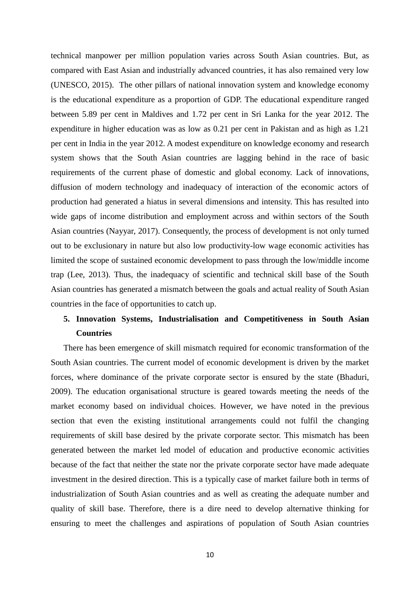technical manpower per million population varies across South Asian countries. But, as compared with East Asian and industrially advanced countries, it has also remained very low (UNESCO, 2015). The other pillars of national innovation system and knowledge economy is the educational expenditure as a proportion of GDP. The educational expenditure ranged between 5.89 per cent in Maldives and 1.72 per cent in Sri Lanka for the year 2012. The expenditure in higher education was as low as 0.21 per cent in Pakistan and as high as 1.21 per cent in India in the year 2012. A modest expenditure on knowledge economy and research system shows that the South Asian countries are lagging behind in the race of basic requirements of the current phase of domestic and global economy. Lack of innovations, diffusion of modern technology and inadequacy of interaction of the economic actors of production had generated a hiatus in several dimensions and intensity. This has resulted into wide gaps of income distribution and employment across and within sectors of the South Asian countries (Nayyar, 2017). Consequently, the process of development is not only turned out to be exclusionary in nature but also low productivity-low wage economic activities has limited the scope of sustained economic development to pass through the low/middle income trap (Lee, 2013). Thus, the inadequacy of scientific and technical skill base of the South Asian countries has generated a mismatch between the goals and actual reality of South Asian countries in the face of opportunities to catch up.

## **5. Innovation Systems, Industrialisation and Competitiveness in South Asian Countries**

There has been emergence of skill mismatch required for economic transformation of the South Asian countries. The current model of economic development is driven by the market forces, where dominance of the private corporate sector is ensured by the state (Bhaduri, 2009). The education organisational structure is geared towards meeting the needs of the market economy based on individual choices. However, we have noted in the previous section that even the existing institutional arrangements could not fulfil the changing requirements of skill base desired by the private corporate sector. This mismatch has been generated between the market led model of education and productive economic activities because of the fact that neither the state nor the private corporate sector have made adequate investment in the desired direction. This is a typically case of market failure both in terms of industrialization of South Asian countries and as well as creating the adequate number and quality of skill base. Therefore, there is a dire need to develop alternative thinking for ensuring to meet the challenges and aspirations of population of South Asian countries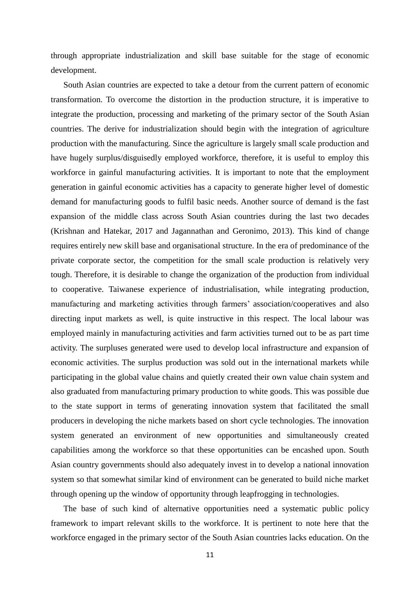through appropriate industrialization and skill base suitable for the stage of economic development.

South Asian countries are expected to take a detour from the current pattern of economic transformation. To overcome the distortion in the production structure, it is imperative to integrate the production, processing and marketing of the primary sector of the South Asian countries. The derive for industrialization should begin with the integration of agriculture production with the manufacturing. Since the agriculture is largely small scale production and have hugely surplus/disguisedly employed workforce, therefore, it is useful to employ this workforce in gainful manufacturing activities. It is important to note that the employment generation in gainful economic activities has a capacity to generate higher level of domestic demand for manufacturing goods to fulfil basic needs. Another source of demand is the fast expansion of the middle class across South Asian countries during the last two decades (Krishnan and Hatekar, 2017 and Jagannathan and Geronimo, 2013). This kind of change requires entirely new skill base and organisational structure. In the era of predominance of the private corporate sector, the competition for the small scale production is relatively very tough. Therefore, it is desirable to change the organization of the production from individual to cooperative. Taiwanese experience of industrialisation, while integrating production, manufacturing and marketing activities through farmers' association/cooperatives and also directing input markets as well, is quite instructive in this respect. The local labour was employed mainly in manufacturing activities and farm activities turned out to be as part time activity. The surpluses generated were used to develop local infrastructure and expansion of economic activities. The surplus production was sold out in the international markets while participating in the global value chains and quietly created their own value chain system and also graduated from manufacturing primary production to white goods. This was possible due to the state support in terms of generating innovation system that facilitated the small producers in developing the niche markets based on short cycle technologies. The innovation system generated an environment of new opportunities and simultaneously created capabilities among the workforce so that these opportunities can be encashed upon. South Asian country governments should also adequately invest in to develop a national innovation system so that somewhat similar kind of environment can be generated to build niche market through opening up the window of opportunity through leapfrogging in technologies.

The base of such kind of alternative opportunities need a systematic public policy framework to impart relevant skills to the workforce. It is pertinent to note here that the workforce engaged in the primary sector of the South Asian countries lacks education. On the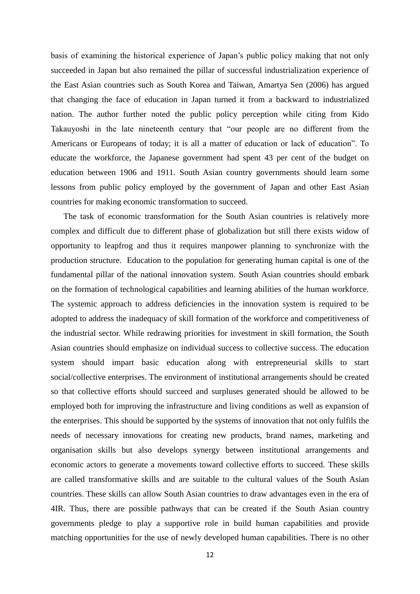basis of examining the historical experience of Japan's public policy making that not only succeeded in Japan but also remained the pillar of successful industrialization experience of the East Asian countries such as South Korea and Taiwan, Amartya Sen (2006) has argued that changing the face of education in Japan turned it from a backward to industrialized nation. The author further noted the public policy perception while citing from Kido Takauyoshi in the late nineteenth century that "our people are no different from the Americans or Europeans of today; it is all a matter of education or lack of education". To educate the workforce, the Japanese government had spent 43 per cent of the budget on education between 1906 and 1911. South Asian country governments should learn some lessons from public policy employed by the government of Japan and other East Asian countries for making economic transformation to succeed.

The task of economic transformation for the South Asian countries is relatively more complex and difficult due to different phase of globalization but still there exists widow of opportunity to leapfrog and thus it requires manpower planning to synchronize with the production structure. Education to the population for generating human capital is one of the fundamental pillar of the national innovation system. South Asian countries should embark on the formation of technological capabilities and learning abilities of the human workforce. The systemic approach to address deficiencies in the innovation system is required to be adopted to address the inadequacy of skill formation of the workforce and competitiveness of the industrial sector. While redrawing priorities for investment in skill formation, the South Asian countries should emphasize on individual success to collective success. The education system should impart basic education along with entrepreneurial skills to start social/collective enterprises. The environment of institutional arrangements should be created so that collective efforts should succeed and surpluses generated should be allowed to be employed both for improving the infrastructure and living conditions as well as expansion of the enterprises. This should be supported by the systems of innovation that not only fulfils the needs of necessary innovations for creating new products, brand names, marketing and organisation skills but also develops synergy between institutional arrangements and economic actors to generate a movements toward collective efforts to succeed. These skills are called transformative skills and are suitable to the cultural values of the South Asian countries. These skills can allow South Asian countries to draw advantages even in the era of 4IR. Thus, there are possible pathways that can be created if the South Asian country governments pledge to play a supportive role in build human capabilities and provide matching opportunities for the use of newly developed human capabilities. There is no other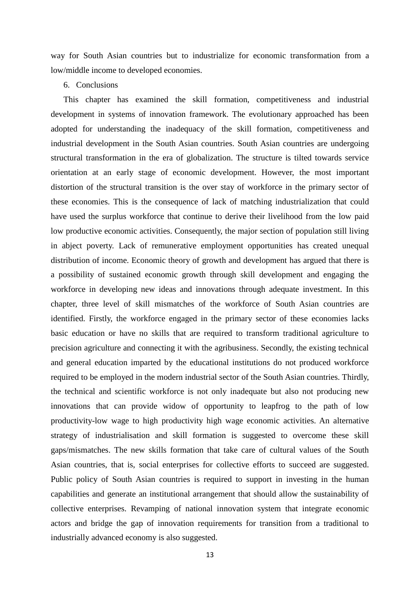way for South Asian countries but to industrialize for economic transformation from a low/middle income to developed economies.

6. Conclusions

This chapter has examined the skill formation, competitiveness and industrial development in systems of innovation framework. The evolutionary approached has been adopted for understanding the inadequacy of the skill formation, competitiveness and industrial development in the South Asian countries. South Asian countries are undergoing structural transformation in the era of globalization. The structure is tilted towards service orientation at an early stage of economic development. However, the most important distortion of the structural transition is the over stay of workforce in the primary sector of these economies. This is the consequence of lack of matching industrialization that could have used the surplus workforce that continue to derive their livelihood from the low paid low productive economic activities. Consequently, the major section of population still living in abject poverty. Lack of remunerative employment opportunities has created unequal distribution of income. Economic theory of growth and development has argued that there is a possibility of sustained economic growth through skill development and engaging the workforce in developing new ideas and innovations through adequate investment. In this chapter, three level of skill mismatches of the workforce of South Asian countries are identified. Firstly, the workforce engaged in the primary sector of these economies lacks basic education or have no skills that are required to transform traditional agriculture to precision agriculture and connecting it with the agribusiness. Secondly, the existing technical and general education imparted by the educational institutions do not produced workforce required to be employed in the modern industrial sector of the South Asian countries. Thirdly, the technical and scientific workforce is not only inadequate but also not producing new innovations that can provide widow of opportunity to leapfrog to the path of low productivity-low wage to high productivity high wage economic activities. An alternative strategy of industrialisation and skill formation is suggested to overcome these skill gaps/mismatches. The new skills formation that take care of cultural values of the South Asian countries, that is, social enterprises for collective efforts to succeed are suggested. Public policy of South Asian countries is required to support in investing in the human capabilities and generate an institutional arrangement that should allow the sustainability of collective enterprises. Revamping of national innovation system that integrate economic actors and bridge the gap of innovation requirements for transition from a traditional to industrially advanced economy is also suggested.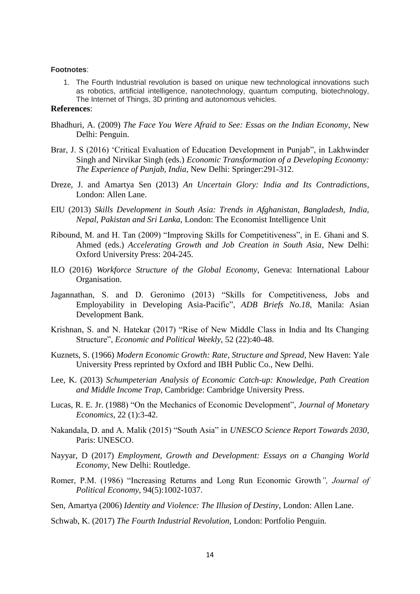#### **Footnotes**:

1. The Fourth Industrial revolution is based on unique new technological innovations such as robotics, artificial intelligence, nanotechnology, quantum computing, biotechnology, The Internet of Things, 3D printing and autonomous vehicles.

#### **References**:

- Bhadhuri, A. (2009) *The Face You Were Afraid to See: Essas on the Indian Economy*, New Delhi: Penguin.
- Brar, J. S (2016) 'Critical Evaluation of Education Development in Punjab", in Lakhwinder Singh and Nirvikar Singh (eds.) *Economic Transformation of a Developing Economy: The Experience of Punjab, India*, New Delhi: Springer:291-312.
- Dreze, J. and Amartya Sen (2013) *An Uncertain Glory: India and Its Contradictions*, London: Allen Lane.
- EIU (2013) *Skills Development in South Asia: Trends in Afghanistan, Bangladesh, India, Nepal, Pakistan and Sri Lanka*, London: The Economist Intelligence Unit
- Ribound, M. and H. Tan (2009) "Improving Skills for Competitiveness", in E. Ghani and S. Ahmed (eds.) *Accelerating Growth and Job Creation in South Asia*, New Delhi: Oxford University Press: 204-245.
- ILO (2016) *Workforce Structure of the Global Economy*, Geneva: International Labour Organisation.
- Jagannathan, S. and D. Geronimo (2013) "Skills for Competitiveness, Jobs and Employability in Developing Asia-Pacific", *ADB Briefs No.18*, Manila: Asian Development Bank.
- Krishnan, S. and N. Hatekar (2017) "Rise of New Middle Class in India and Its Changing Structure", *Economic and Political Weekly*, 52 (22):40-48.
- Kuznets, S. (1966) *Modern Economic Growth: Rate, Structure and Spread*, New Haven: Yale University Press reprinted by Oxford and IBH Public Co., New Delhi.
- Lee, K. (2013) *Schumpeterian Analysis of Economic Catch-up: Knowledge, Path Creation and Middle Income Trap*, Cambridge: Cambridge University Press.
- Lucas, R. E. Jr. (1988) "On the Mechanics of Economic Development", *Journal of Monetary Economics,* 22 (1):3-42.
- Nakandala, D. and A. Malik (2015) "South Asia" in *UNESCO Science Report Towards 2030*, Paris: UNESCO.
- Nayyar, D (2017) *Employment, Growth and Development: Essays on a Changing World Economy*, New Delhi: Routledge.
- Romer, P.M. (1986) "Increasing Returns and Long Run Economic Growth*", Journal of Political Economy*, 94(5):1002-1037.
- Sen, Amartya (2006) *Identity and Violence: The Illusion of Destiny*, London: Allen Lane.
- Schwab, K. (2017) *The Fourth Industrial Revolution,* London: Portfolio Penguin.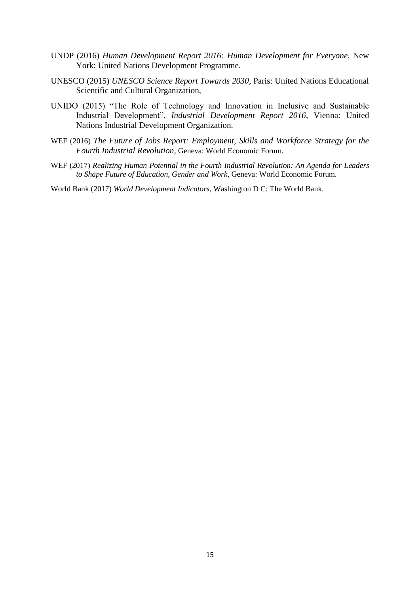- UNDP (2016) *Human Development Report 2016: Human Development for Everyone*, New York: United Nations Development Programme.
- UNESCO (2015) *UNESCO Science Report Towards 2030*, Paris: United Nations Educational Scientific and Cultural Organization,
- UNIDO (2015) "The Role of Technology and Innovation in Inclusive and Sustainable Industrial Development", *Industrial Development Report 2016*, Vienna: United Nations Industrial Development Organization.
- WEF (2016) *The Future of Jobs Report: Employment, Skills and Workforce Strategy for the Fourth Industrial Revolution,* Geneva: World Economic Forum.
- WEF (2017) *Realizing Human Potential in the Fourth Industrial Revolution: An Agenda for Leaders to Shape Future of Education, Gender and Work*, Geneva: World Economic Forum.

World Bank (2017) *World Development Indicators*, Washington D C: The World Bank.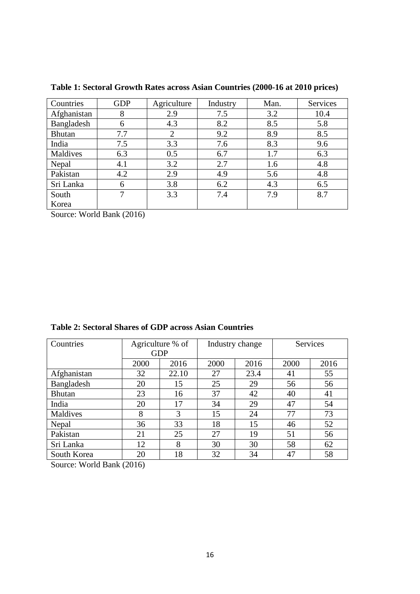| Countries     | <b>GDP</b> | Agriculture | Industry | Man. | Services |
|---------------|------------|-------------|----------|------|----------|
| Afghanistan   | 8          | 2.9         | 7.5      | 3.2  | 10.4     |
| Bangladesh    | 6          | 4.3         | 8.2      | 8.5  | 5.8      |
| <b>Bhutan</b> | 7.7        | 2           | 9.2      | 8.9  | 8.5      |
| India         | 7.5        | 3.3         | 7.6      | 8.3  | 9.6      |
| Maldives      | 6.3        | 0.5         | 6.7      | 1.7  | 6.3      |
| Nepal         | 4.1        | 3.2         | 2.7      | 1.6  | 4.8      |
| Pakistan      | 4.2        | 2.9         | 4.9      | 5.6  | 4.8      |
| Sri Lanka     | 6          | 3.8         | 6.2      | 4.3  | 6.5      |
| South         | 7          | 3.3         | 7.4      | 7.9  | 8.7      |
| Korea         |            |             |          |      |          |

**Table 1: Sectoral Growth Rates across Asian Countries (2000-16 at 2010 prices)**

Source: World Bank (2016)

| Countries     | Agriculture % of |       | Industry change |      | <b>Services</b> |      |
|---------------|------------------|-------|-----------------|------|-----------------|------|
|               | <b>GDP</b>       |       |                 |      |                 |      |
|               | 2000             | 2016  | 2000            | 2016 | 2000            | 2016 |
| Afghanistan   | 32               | 22.10 | 27              | 23.4 | 41              | 55   |
| Bangladesh    | 20               | 15    | 25              | 29   | 56              | 56   |
| <b>Bhutan</b> | 23               | 16    | 37              | 42   | 40              | 41   |
| India         | 20               | 17    | 34              | 29   | 47              | 54   |
| Maldives      | 8                | 3     | 15              | 24   | 77              | 73   |
| Nepal         | 36               | 33    | 18              | 15   | 46              | 52   |
| Pakistan      | 21               | 25    | 27              | 19   | 51              | 56   |
| Sri Lanka     | 12               | 8     | 30              | 30   | 58              | 62   |
| South Korea   | 20               | 18    | 32              | 34   | 47              | 58   |

Source: World Bank (2016)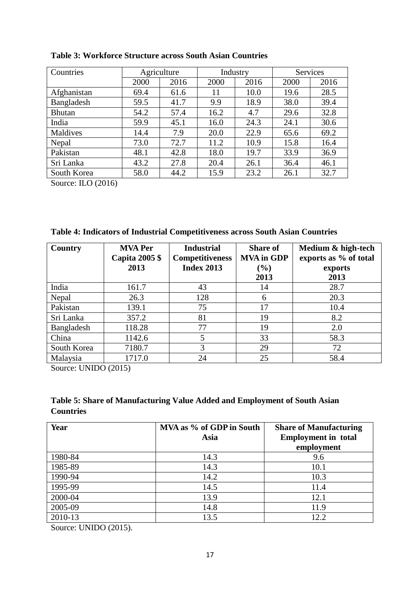| Countries     | Agriculture |      | Industry |      | Services |      |
|---------------|-------------|------|----------|------|----------|------|
|               | 2000        | 2016 | 2000     | 2016 | 2000     | 2016 |
| Afghanistan   | 69.4        | 61.6 | 11       | 10.0 | 19.6     | 28.5 |
| Bangladesh    | 59.5        | 41.7 | 9.9      | 18.9 | 38.0     | 39.4 |
| <b>Bhutan</b> | 54.2        | 57.4 | 16.2     | 4.7  | 29.6     | 32.8 |
| India         | 59.9        | 45.1 | 16.0     | 24.3 | 24.1     | 30.6 |
| Maldives      | 14.4        | 7.9  | 20.0     | 22.9 | 65.6     | 69.2 |
| Nepal         | 73.0        | 72.7 | 11.2     | 10.9 | 15.8     | 16.4 |
| Pakistan      | 48.1        | 42.8 | 18.0     | 19.7 | 33.9     | 36.9 |
| Sri Lanka     | 43.2        | 27.8 | 20.4     | 26.1 | 36.4     | 46.1 |
| South Korea   | 58.0        | 44.2 | 15.9     | 23.2 | 26.1     | 32.7 |

**Table 3: Workforce Structure across South Asian Countries**

Source: ILO (2016)

| Table 4: Indicators of Industrial Competitiveness across South Asian Countries |  |  |  |  |
|--------------------------------------------------------------------------------|--|--|--|--|
|--------------------------------------------------------------------------------|--|--|--|--|

| Country     | <b>MVA Per</b><br>Capita 2005 \$ | <b>Industrial</b><br><b>Competitiveness</b> | <b>Share of</b><br><b>MVA</b> in GDP | Medium & high-tech<br>exports as % of total |
|-------------|----------------------------------|---------------------------------------------|--------------------------------------|---------------------------------------------|
|             | 2013                             | <b>Index 2013</b>                           | (%)                                  | exports                                     |
|             |                                  |                                             | 2013                                 | 2013                                        |
| India       | 161.7                            | 43                                          | 14                                   | 28.7                                        |
| Nepal       | 26.3                             | 128                                         | 6                                    | 20.3                                        |
| Pakistan    | 139.1                            | 75                                          | 17                                   | 10.4                                        |
| Sri Lanka   | 357.2                            | 81                                          | 19                                   | 8.2                                         |
| Bangladesh  | 118.28                           | 77                                          | 19                                   | 2.0                                         |
| China       | 1142.6                           | 5                                           | 33                                   | 58.3                                        |
| South Korea | 7180.7                           | 3                                           | 29                                   | 72                                          |
| Malaysia    | 1717.0                           | 24                                          | 25                                   | 58.4                                        |

Source: UNIDO (2015)

## **Table 5: Share of Manufacturing Value Added and Employment of South Asian Countries**

| Year    | MVA as % of GDP in South | <b>Share of Manufacturing</b> |  |
|---------|--------------------------|-------------------------------|--|
|         | Asia                     | <b>Employment</b> in total    |  |
|         |                          | employment                    |  |
| 1980-84 | 14.3                     | 9.6                           |  |
| 1985-89 | 14.3                     | 10.1                          |  |
| 1990-94 | 14.2                     | 10.3                          |  |
| 1995-99 | 14.5                     | 11.4                          |  |
| 2000-04 | 13.9                     | 12.1                          |  |
| 2005-09 | 14.8                     | 11.9                          |  |
| 2010-13 | 13.5                     | 12.2                          |  |

Source: UNIDO (2015).